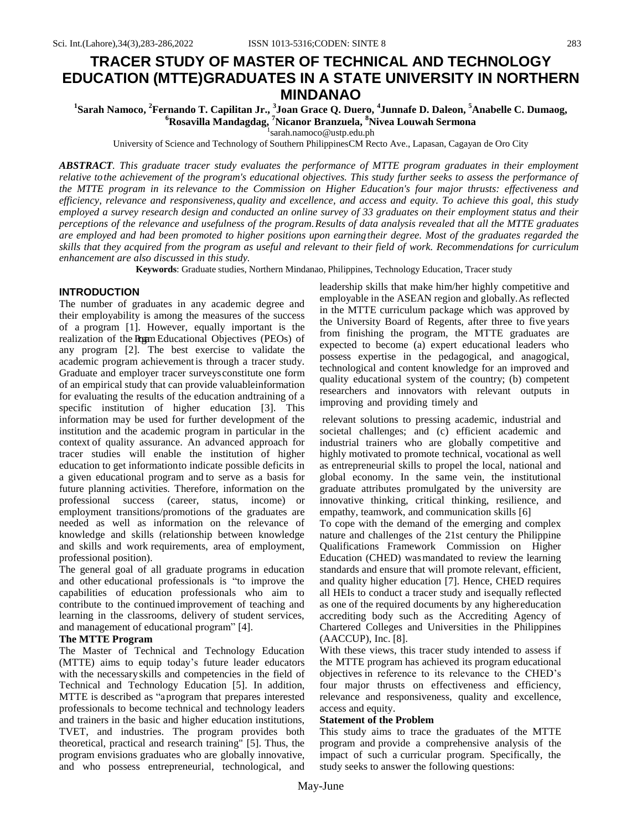## **TRACER STUDY OF MASTER OF TECHNICAL AND TECHNOLOGY EDUCATION (MTTE)GRADUATES IN A STATE UNIVERSITY IN NORTHERN**  $\mbox{MINDANAO}^1 \label{eq:21}$ <sup>1</sup>Sarah Namoco, <sup>2</sup>Fernando T. Capilitan Jr., <sup>3</sup>Joan Grace Q. Duero, <sup>4</sup>Junnafe D. Daleon, <sup>5</sup>Anabelle C. Dumaog,

# **<sup>6</sup>Rosavilla Mandagdag, <sup>7</sup>Nicanor Branzuela, <sup>8</sup>Nivea Louwah Sermona** 1 [sarah.namoco@ustp.edu.ph](mailto:1sarah.namoco@ustp.edu.ph)

University of Science and Technology of Southern PhilippinesCM Recto Ave., Lapasan, Cagayan de Oro City

*ABSTRACT. This graduate tracer study evaluates the performance of MTTE program graduates in their employment relative tothe achievement of the program's educational objectives. This study further seeks to assess the performance of the MTTE program in its relevance to the Commission on Higher Education's four major thrusts: effectiveness and efficiency, relevance and responsiveness, quality and excellence, and access and equity. To achieve this goal, this study employed a survey research design and conducted an online survey of 33 graduates on their employment status and their perceptions of the relevance and usefulness of the program.Results of data analysis revealed that all the MTTE graduates are employed and had been promoted to higher positions upon earningtheir degree. Most of the graduates regarded the skills that they acquired from the program as useful and relevant to their field of work. Recommendations for curriculum enhancement are also discussed in this study.*

**Keywords**: Graduate studies, Northern Mindanao, Philippines, Technology Education, Tracer study

#### **INTRODUCTION**

The number of graduates in any academic degree and their employability is among the measures of the success of a program [1]. However, equally important is the realization of the Program Educational Objectives (PEOs) of any program [2]. The best exercise to validate the academic program achievementis through a tracer study. Graduate and employer tracer surveysconstitute one form of an empirical study that can provide valuableinformation for evaluating the results of the education andtraining of a specific institution of higher education [3]. This information may be used for further development of the institution and the academic program in particular in the context of quality assurance. An advanced approach for tracer studies will enable the institution of higher education to get informationto indicate possible deficits in a given educational program and to serve as a basis for future planning activities. Therefore, information on the professional success (career, status, income) or employment transitions/promotions of the graduates are needed as well as information on the relevance of knowledge and skills (relationship between knowledge and skills and work requirements, area of employment, professional position).

The general goal of all graduate programs in education and other educational professionals is "to improve the capabilities of education professionals who aim to contribute to the continued improvement of teaching and learning in the classrooms, delivery of student services, and management of educational program" [4].

#### **The MTTE Program**

The Master of Technical and Technology Education (MTTE) aims to equip today's future leader educators with the necessaryskills and competencies in the field of Technical and Technology Education [5]. In addition, MTTE is described as "aprogram that prepares interested professionals to become technical and technology leaders and trainers in the basic and higher education institutions, TVET, and industries. The program provides both theoretical, practical and research training" [5]. Thus, the program envisions graduates who are globally innovative, and who possess entrepreneurial, technological, and leadership skills that make him/her highly competitive and employable in the ASEAN region and globally.As reflected in the MTTE curriculum package which was approved by the University Board of Regents, after three to five years from finishing the program, the MTTE graduates are expected to become (a) expert educational leaders who possess expertise in the pedagogical, and anagogical, technological and content knowledge for an improved and quality educational system of the country; (b) competent researchers and innovators with relevant outputs in improving and providing timely and

relevant solutions to pressing academic, industrial and societal challenges; and (c) efficient academic and industrial trainers who are globally competitive and highly motivated to promote technical, vocational as well as entrepreneurial skills to propel the local, national and global economy. In the same vein, the institutional graduate attributes promulgated by the university are innovative thinking, critical thinking, resilience, and empathy, teamwork, and communication skills [6]

To cope with the demand of the emerging and complex nature and challenges of the 21st century the Philippine Qualifications Framework Commission on Higher Education (CHED) wasmandated to review the learning standards and ensure that will promote relevant, efficient, and quality higher education [7]. Hence, CHED requires all HEIs to conduct a tracer study and isequally reflected as one of the required documents by any highereducation accrediting body such as the Accrediting Agency of Chartered Colleges and Universities in the Philippines (AACCUP), Inc. [8].

With these views, this tracer study intended to assess if the MTTE program has achieved its program educational objectives in reference to its relevance to the CHED's four major thrusts on effectiveness and efficiency, relevance and responsiveness, quality and excellence, access and equity.

#### **Statement of the Problem**

This study aims to trace the graduates of the MTTE program and provide a comprehensive analysis of the impact of such a curricular program. Specifically, the study seeks to answer the following questions: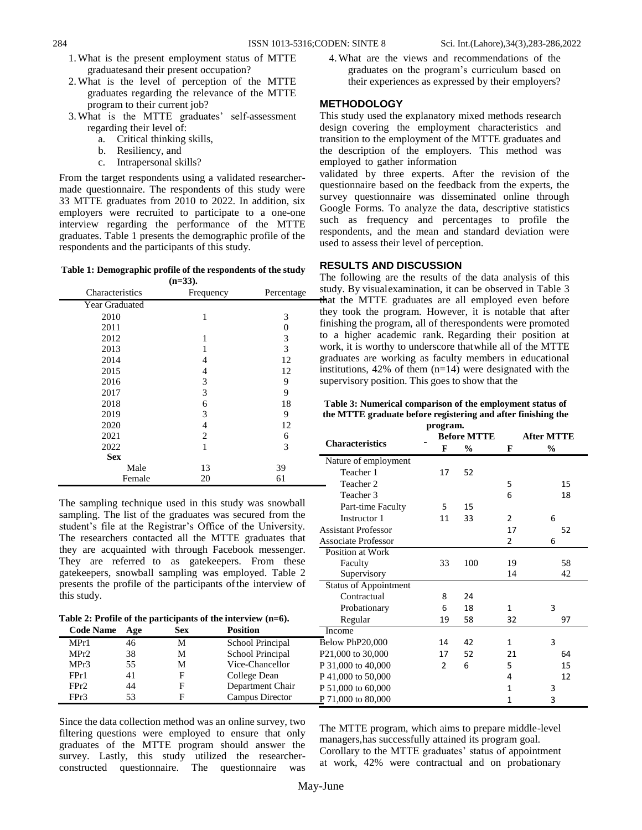- 1.What is the present employment status of MTTE graduatesand their present occupation?
- 2.What is the level of perception of the MTTE graduates regarding the relevance of the MTTE program to their current job?
- 3.What is the MTTE graduates' self-assessment regarding their level of:
	- a. Critical thinking skills,
	- b. Resiliency, and
	- c. Intrapersonal skills?

From the target respondents using a validated researchermade questionnaire. The respondents of this study were 33 MTTE graduates from 2010 to 2022. In addition, six employers were recruited to participate to a one-one interview regarding the performance of the MTTE graduates. Table 1 presents the demographic profile of the respondents and the participants of this study.

**Table 1: Demographic profile of the respondents of the study (n=33).**

|                 | $(11 - 00)$ |            |
|-----------------|-------------|------------|
| Characteristics | Frequency   | Percentage |
| Year Graduated  |             |            |
| 2010            | 1           | 3          |
| 2011            |             | 0          |
| 2012            | 1           | 3          |
| 2013            |             | 3          |
| 2014            | 4           | 12         |
| 2015            | 4           | 12         |
| 2016            | 3           | 9          |
| 2017            | 3           | 9          |
| 2018            | 6           | 18         |
| 2019            | 3           | 9          |
| 2020            | 4           | 12         |
| 2021            | 2           | 6          |
| 2022            | 1           | 3          |
| <b>Sex</b>      |             |            |
| Male            | 13          | 39         |
| Female          | 20          | 61         |

The sampling technique used in this study was snowball sampling. The list of the graduates was secured from the student's file at the Registrar's Office of the University. The researchers contacted all the MTTE graduates that they are acquainted with through Facebook messenger. They are referred to as gatekeepers. From these gatekeepers, snowball sampling was employed. Table 2 presents the profile of the participants of the interview of this study.

**Table 2: Profile of the participants of the interview (n=6). Code Name Age Sex Position**

MPr1 46 M School Principal MPr2 38 M School Principal MPr3 55 M Vice-Chancellor FPr1 41 F College Dean FPr2 44 F Department Chair FPr3 53 F Campus Director

4.What are the views and recommendations of the graduates on the program's curriculum based on their experiences as expressed by their employers?

#### **METHODOLOGY**

This study used the explanatory mixed methods research design covering the employment characteristics and transition to the employment of the MTTE graduates and the description of the employers. This method was employed to gather information

validated by three experts. After the revision of the questionnaire based on the feedback from the experts, the survey questionnaire was disseminated online through Google Forms. To analyze the data, descriptive statistics such as frequency and percentages to profile the respondents, and the mean and standard deviation were used to assess their level of perception.

#### **RESULTS AND DISCUSSION**

The following are the results of the data analysis of this study. By visualexamination, it can be observed in Table 3 that the MTTE graduates are all employed even before they took the program. However, it is notable that after finishing the program, all of therespondents were promoted to a higher academic rank. Regarding their position at work, it is worthy to underscore thatwhile all of the MTTE graduates are working as faculty members in educational institutions,  $42\%$  of them (n=14) were designated with the supervisory position. This goes to show that the

|  | Table 3: Numerical comparison of the employment status of    |  |
|--|--------------------------------------------------------------|--|
|  | the MTTE graduate before registering and after finishing the |  |

| program.                         |                |                    |                   |    |  |  |
|----------------------------------|----------------|--------------------|-------------------|----|--|--|
|                                  |                | <b>Before MTTE</b> | <b>After MTTE</b> |    |  |  |
| <b>Characteristics</b>           | F              | $\frac{1}{2}$      | F                 | %  |  |  |
| Nature of employment             |                |                    |                   |    |  |  |
| Teacher 1                        | 17             | 52                 |                   |    |  |  |
| Teacher 2                        |                |                    | 5                 | 15 |  |  |
| Teacher 3                        |                |                    | 6                 | 18 |  |  |
| Part-time Faculty                | 5              | 15                 |                   |    |  |  |
| Instructor 1                     | 11             | 33                 | $\mathcal{P}$     | 6  |  |  |
| <b>Assistant Professor</b>       |                |                    | 17                | 52 |  |  |
| <b>Associate Professor</b>       |                |                    | 2                 | 6  |  |  |
| Position at Work                 |                |                    |                   |    |  |  |
| Faculty                          | 33             | 100                | 19                | 58 |  |  |
| Supervisory                      |                |                    | 14                | 42 |  |  |
| <b>Status of Appointment</b>     |                |                    |                   |    |  |  |
| Contractual                      | 8              | 24                 |                   |    |  |  |
| Probationary                     | 6              | 18                 | 1                 | 3  |  |  |
| Regular                          | 19             | 58                 | 32                | 97 |  |  |
| Income                           |                |                    |                   |    |  |  |
| Below PhP20,000                  | 14             | 42                 | 1                 | 3  |  |  |
| P21,000 to 30,000                | 17             | 52                 | 21                | 64 |  |  |
| P 31,000 to 40,000               | $\overline{2}$ | 6                  | 5                 | 15 |  |  |
| P 41,000 to 50,000               |                |                    | 4                 | 12 |  |  |
| P 51,000 to 60,000               |                |                    | 1                 | 3  |  |  |
| $\underline{P}$ 71,000 to 80,000 |                |                    | 1                 | 3  |  |  |
|                                  |                |                    |                   |    |  |  |

Since the data collection method was an online survey, two filtering questions were employed to ensure that only graduates of the MTTE program should answer the survey. Lastly, this study utilized the researcherconstructed questionnaire. The questionnaire was

The MTTE program, which aims to prepare middle-level managers,has successfully attained its program goal. Corollary to the MTTE graduates' status of appointment at work, 42% were contractual and on probationary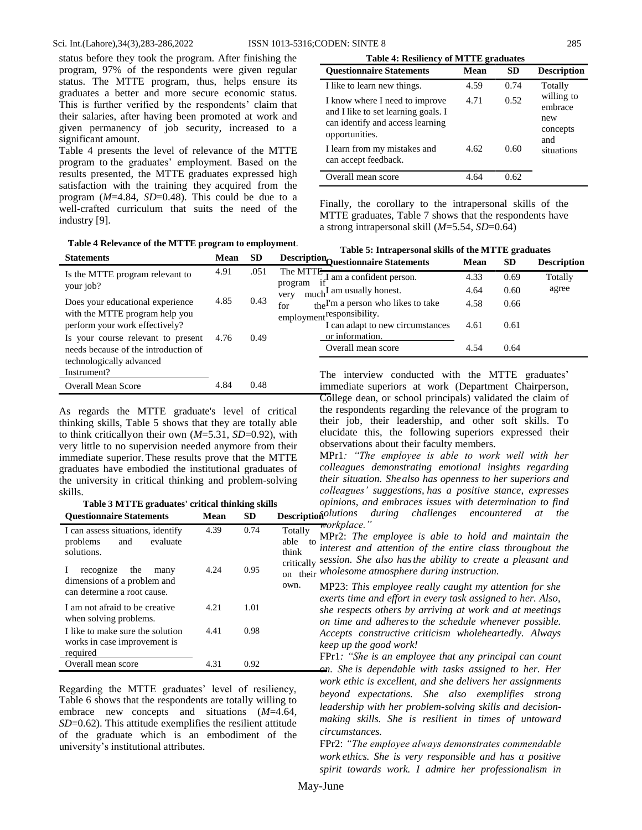status before they took the program. After finishing the program, 97% of the respondents were given regular status. The MTTE program, thus, helps ensure its graduates a better and more secure economic status. This is further verified by the respondents' claim that their salaries, after having been promoted at work and given permanency of job security, increased to a significant amount.

Table 4 presents the level of relevance of the MTTE program to the graduates' employment. Based on the results presented, the MTTE graduates expressed high satisfaction with the training they acquired from the program (*M*=4.84, *SD*=0.48). This could be due to a well-crafted curriculum that suits the need of the industry [9].

| <b>Table 4: Resiliency of MTTE graduates</b> |  |
|----------------------------------------------|--|

| <b>Ouestionnaire Statements</b>                                                                                             | Mean | SD   | <b>Description</b>                              |
|-----------------------------------------------------------------------------------------------------------------------------|------|------|-------------------------------------------------|
| I like to learn new things.                                                                                                 | 4.59 | 0.74 | Totally                                         |
| I know where I need to improve<br>and I like to set learning goals. I<br>can identify and access learning<br>opportunities. | 4.71 | 0.52 | willing to<br>embrace<br>new<br>concepts<br>and |
| I learn from my mistakes and<br>can accept feedback.                                                                        | 4.62 | 0.60 | situations                                      |
| Overall mean score                                                                                                          | 4.64 | 0.62 |                                                 |

Finally, the corollary to the intrapersonal skills of the MTTE graduates, Table 7 shows that the respondents have a strong intrapersonal skill (*M*=5.54, *SD*=0.64)

| Tuble + Relevance of the MITLE program to employment.                      | Table 5: Intrapersonal skills of the MTTE graduates |           |                                                                           |      |           |                    |
|----------------------------------------------------------------------------|-----------------------------------------------------|-----------|---------------------------------------------------------------------------|------|-----------|--------------------|
| <b>Statements</b>                                                          | Mean                                                | <b>SD</b> | Description Questionnaire Statements                                      | Mean | <b>SD</b> | <b>Description</b> |
| Is the MTTE program relevant to                                            | 4.91                                                | .051      | The MTTE <del>-</del><br>$\frac{1}{\pi}$ I am a confident person.         | 4.33 | 0.69      | Totally            |
| your job?                                                                  |                                                     |           | program<br>much <sup>I</sup> am usually honest.<br>very                   | 4.64 | 0.60      | agree              |
| Does your educational experience                                           | 4.85                                                | 0.43      | the <sup>I'm</sup> a person who likes to take<br>for                      | 4.58 | 0.66      |                    |
| with the MTTE program help you<br>perform your work effectively?           |                                                     |           | employment <sup>responsibility.</sup><br>I can adapt to new circumstances | 4.61 | 0.61      |                    |
| Is your course relevant to present<br>needs because of the introduction of | 4.76                                                | 0.49      | or information.<br>Overall mean score                                     | 4.54 | 0.64      |                    |
| technologically advanced<br>Instrument?                                    |                                                     |           | The interview conducted with the MTTE graduates'                          |      |           |                    |
| <b>Overall Mean Score</b>                                                  | 4.84                                                | 0.48      | immediate superiors at work (Department Chairperson,                      |      |           |                    |

As regards the MTTE graduate's level of critical thinking skills, Table 5 shows that they are totally able to think criticallyon their own (*M*=5.31, *SD*=0.92), with very little to no supervision needed anymore from their immediate superior.These results prove that the MTTE graduates have embodied the institutional graduates of the university in critical thinking and problem-solving skills.

**Table 3 MTTE graduates' critical thinking skills**

| <b>Questionnaire Statements</b>                                                     | <b>Mean</b> | <b>SD</b> | Description                                            |  |  |
|-------------------------------------------------------------------------------------|-------------|-----------|--------------------------------------------------------|--|--|
| I can assess situations, identify<br>evaluate<br>and<br>problems<br>solutions.      | 4.39        | 0.74      | Totally<br>able<br>to<br>li<br>think<br>critically $S$ |  |  |
| recognize the<br>many<br>dimensions of a problem and<br>can determine a root cause. | 4.24        | 0.95      | on their <sup>M</sup><br>own.<br>N<br>e                |  |  |
| I am not afraid to be creative<br>when solving problems.                            | 4.21        | 1.01      | S<br>$\mathcal{O}$                                     |  |  |
| I like to make sure the solution<br>works in case improvement is<br>required        | 4.41        | 0.98      | A<br>k<br>F                                            |  |  |
| Overall mean score                                                                  | 4.31        | 0.92      | r                                                      |  |  |

Regarding the MTTE graduates' level of resiliency, Table 6 shows that the respondents are totally willing to embrace new concepts and situations (*M*=4.64, *SD*=0.62). This attitude exemplifies the resilient attitude of the graduate which is an embodiment of the university's institutional attributes.

immediate superiors at work (Department Chairperson, College dean, or school principals) validated the claim of the respondents regarding the relevance of the program to their job, their leadership, and other soft skills. To elucidate this, the following superiors expressed their observations about their faculty members.

MPr1*: "The employee is able to work well with her colleagues demonstrating emotional insights regarding their situation. Shealso has openness to her superiors and colleagues' suggestions, has a positive stance, expresses opinions, and embraces issues with determination to find*

*solutions during challenges encountered at the workplace."*

able to MPr2: *The employee is able to hold and maintain the*  critically *session. She also hasthe ability to create a pleasant and*  on their *wholesome atmosphere during instruction. interest and attention of the entire class throughout the*

> MP23: *This employee really caught my attention for she exerts time and effort in every task assigned to her. Also, she respects others by arriving at work and at meetings on time and adheresto the schedule whenever possible. Accepts constructive criticism wholeheartedly. Always keep up the good work!*

> FPr1*: "She is an employee that any principal can count on. She is dependable with tasks assigned to her. Her work ethic is excellent, and she delivers her assignments beyond expectations. She also exemplifies strong leadership with her problem-solving skills and decisionmaking skills. She is resilient in times of untoward circumstances.*

> FPr2: *"The employee always demonstrates commendable work ethics. She is very responsible and has a positive spirit towards work. I admire her professionalism in*